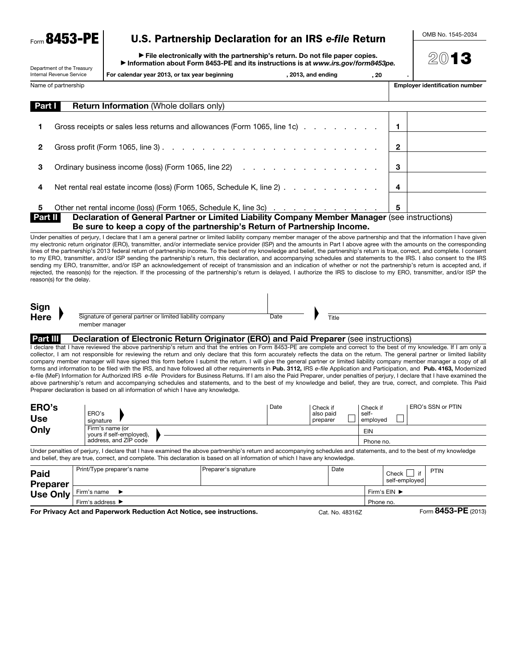Form 8453-PE

# U.S. Partnership Declaration for an IRS *e-file* Return

OMB No. 1545-2034

| Department of the Treasury<br>Internal Revenue Service                    |  | File electronically with the partnership's return. Do not file paper copies.<br>Information about Form 8453-PE and its instructions is at www.irs.gov/form8453pe.                                                                                                                                                                                                                                                                                                                                                                                                                                                                                                                                                                                                                                                                                                                                                                                                                                                                                                                                                                                                                                                                                        |  |      |  |       |   |                                         |                         |                                       |  |  |  |
|---------------------------------------------------------------------------|--|----------------------------------------------------------------------------------------------------------------------------------------------------------------------------------------------------------------------------------------------------------------------------------------------------------------------------------------------------------------------------------------------------------------------------------------------------------------------------------------------------------------------------------------------------------------------------------------------------------------------------------------------------------------------------------------------------------------------------------------------------------------------------------------------------------------------------------------------------------------------------------------------------------------------------------------------------------------------------------------------------------------------------------------------------------------------------------------------------------------------------------------------------------------------------------------------------------------------------------------------------------|--|------|--|-------|---|-----------------------------------------|-------------------------|---------------------------------------|--|--|--|
|                                                                           |  | For calendar year 2013, or tax year beginning<br>, 2013, and ending                                                                                                                                                                                                                                                                                                                                                                                                                                                                                                                                                                                                                                                                                                                                                                                                                                                                                                                                                                                                                                                                                                                                                                                      |  |      |  |       |   |                                         |                         |                                       |  |  |  |
| Name of partnership                                                       |  |                                                                                                                                                                                                                                                                                                                                                                                                                                                                                                                                                                                                                                                                                                                                                                                                                                                                                                                                                                                                                                                                                                                                                                                                                                                          |  |      |  |       |   |                                         |                         | <b>Employer identification number</b> |  |  |  |
| Part I                                                                    |  | Return Information (Whole dollars only)                                                                                                                                                                                                                                                                                                                                                                                                                                                                                                                                                                                                                                                                                                                                                                                                                                                                                                                                                                                                                                                                                                                                                                                                                  |  |      |  |       |   |                                         |                         |                                       |  |  |  |
| 1                                                                         |  | Gross receipts or sales less returns and allowances (Form 1065, line 1c)                                                                                                                                                                                                                                                                                                                                                                                                                                                                                                                                                                                                                                                                                                                                                                                                                                                                                                                                                                                                                                                                                                                                                                                 |  |      |  |       |   | 1                                       |                         |                                       |  |  |  |
| 2                                                                         |  |                                                                                                                                                                                                                                                                                                                                                                                                                                                                                                                                                                                                                                                                                                                                                                                                                                                                                                                                                                                                                                                                                                                                                                                                                                                          |  |      |  |       |   | $\mathbf{2}$                            |                         |                                       |  |  |  |
| Ordinary business income (loss) (Form 1065, line 22)<br>3                 |  |                                                                                                                                                                                                                                                                                                                                                                                                                                                                                                                                                                                                                                                                                                                                                                                                                                                                                                                                                                                                                                                                                                                                                                                                                                                          |  |      |  |       |   | 3                                       |                         |                                       |  |  |  |
| Net rental real estate income (loss) (Form 1065, Schedule K, line 2)<br>4 |  |                                                                                                                                                                                                                                                                                                                                                                                                                                                                                                                                                                                                                                                                                                                                                                                                                                                                                                                                                                                                                                                                                                                                                                                                                                                          |  |      |  |       | 4 |                                         |                         |                                       |  |  |  |
| 5                                                                         |  | Other net rental income (loss) (Form 1065, Schedule K, line 3c)                                                                                                                                                                                                                                                                                                                                                                                                                                                                                                                                                                                                                                                                                                                                                                                                                                                                                                                                                                                                                                                                                                                                                                                          |  |      |  |       |   | 5                                       |                         |                                       |  |  |  |
| Part II                                                                   |  | Declaration of General Partner or Limited Liability Company Member Manager (see instructions)<br>Be sure to keep a copy of the partnership's Return of Partnership Income.                                                                                                                                                                                                                                                                                                                                                                                                                                                                                                                                                                                                                                                                                                                                                                                                                                                                                                                                                                                                                                                                               |  |      |  |       |   |                                         |                         |                                       |  |  |  |
| Sign<br><b>Here</b>                                                       |  | Signature of general partner or limited liability company                                                                                                                                                                                                                                                                                                                                                                                                                                                                                                                                                                                                                                                                                                                                                                                                                                                                                                                                                                                                                                                                                                                                                                                                |  | Date |  | Title |   |                                         |                         |                                       |  |  |  |
|                                                                           |  | member manager                                                                                                                                                                                                                                                                                                                                                                                                                                                                                                                                                                                                                                                                                                                                                                                                                                                                                                                                                                                                                                                                                                                                                                                                                                           |  |      |  |       |   |                                         |                         |                                       |  |  |  |
| Part III                                                                  |  | Declaration of Electronic Return Originator (ERO) and Paid Preparer (see instructions)<br>I declare that I have reviewed the above partnership's return and that the entries on Form 8453-PE are complete and correct to the best of my knowledge. If I am only a<br>collector, I am not responsible for reviewing the return and only declare that this form accurately reflects the data on the return. The general partner or limited liability<br>company member manager will have signed this form before I submit the return. I will give the general partner or limited liability company member manager a copy of all<br>forms and information to be filed with the IRS, and have followed all other requirements in Pub. 3112, IRS e-file Application and Participation, and Pub. 4163, Modernized<br>e-file (MeF) Information for Authorized IRS e-file Providers for Business Returns. If I am also the Paid Preparer, under penalties of perjury, I declare that I have examined the<br>above partnership's return and accompanying schedules and statements, and to the best of my knowledge and belief, they are true, correct, and complete. This Paid<br>Preparer declaration is based on all information of which I have any knowledge. |  |      |  |       |   |                                         |                         |                                       |  |  |  |
| ERO's<br><b>Use</b>                                                       |  | Date<br>Check if<br>Check if<br>ERO's<br>also paid<br>self-<br>preparer<br>signature                                                                                                                                                                                                                                                                                                                                                                                                                                                                                                                                                                                                                                                                                                                                                                                                                                                                                                                                                                                                                                                                                                                                                                     |  |      |  |       |   | $\mathcal{L}_{\mathcal{A}}$<br>employed |                         | ERO's SSN or PTIN                     |  |  |  |
| Only                                                                      |  | Firm's name (or<br>yours if self-employed),<br>address, and ZIP code                                                                                                                                                                                                                                                                                                                                                                                                                                                                                                                                                                                                                                                                                                                                                                                                                                                                                                                                                                                                                                                                                                                                                                                     |  |      |  |       |   |                                         | <b>EIN</b><br>Phone no. |                                       |  |  |  |
|                                                                           |  | Under penalties of perjury, I declare that I have examined the above partnership's return and accompanying schedules and statements, and to the best of my knowledge<br>and belief, they are true, correct, and complete. This declaration is based on all information of which I have any knowledge.                                                                                                                                                                                                                                                                                                                                                                                                                                                                                                                                                                                                                                                                                                                                                                                                                                                                                                                                                    |  |      |  |       |   |                                         |                         |                                       |  |  |  |
| Paid                                                                      |  | Print/Type preparer's name<br>Preparer's signature<br>Date                                                                                                                                                                                                                                                                                                                                                                                                                                                                                                                                                                                                                                                                                                                                                                                                                                                                                                                                                                                                                                                                                                                                                                                               |  |      |  |       |   |                                         | lif<br>self-employed    | <b>PTIN</b>                           |  |  |  |
| <b>Preparer</b><br><b>Use Only</b>                                        |  | Firm's name<br>▶                                                                                                                                                                                                                                                                                                                                                                                                                                                                                                                                                                                                                                                                                                                                                                                                                                                                                                                                                                                                                                                                                                                                                                                                                                         |  |      |  |       |   |                                         | Firm's EIN ▶            |                                       |  |  |  |
|                                                                           |  | Firm's address ▶                                                                                                                                                                                                                                                                                                                                                                                                                                                                                                                                                                                                                                                                                                                                                                                                                                                                                                                                                                                                                                                                                                                                                                                                                                         |  |      |  |       |   |                                         | Phone no.               |                                       |  |  |  |

For Privacy Act and Paperwork Reduction Act Notice, see instructions. Cat. No. 48316Z Form 8453-PE (2013)